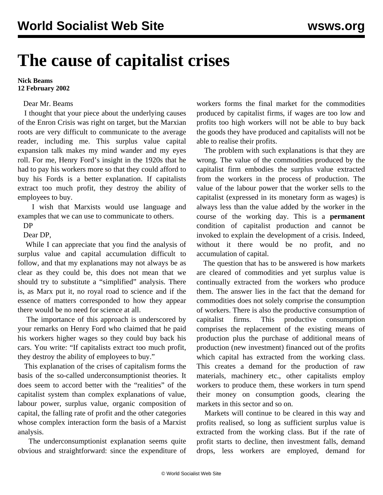## **The cause of capitalist crises**

## **Nick Beams 12 February 2002**

## Dear Mr. Beams

 I thought that your piece about the underlying causes of the Enron Crisis was right on target, but the Marxian roots are very difficult to communicate to the average reader, including me. This surplus value capital expansion talk makes my mind wander and my eyes roll. For me, Henry Ford's insight in the 1920s that he had to pay his workers more so that they could afford to buy his Fords is a better explanation. If capitalists extract too much profit, they destroy the ability of employees to buy.

 I wish that Marxists would use language and examples that we can use to communicate to others.

DP

Dear DP,

 While I can appreciate that you find the analysis of surplus value and capital accumulation difficult to follow, and that my explanations may not always be as clear as they could be, this does not mean that we should try to substitute a "simplified" analysis. There is, as Marx put it, no royal road to science and if the essence of matters corresponded to how they appear there would be no need for science at all.

 The importance of this approach is underscored by your remarks on Henry Ford who claimed that he paid his workers higher wages so they could buy back his cars. You write: "If capitalists extract too much profit, they destroy the ability of employees to buy."

 This explanation of the crises of capitalism forms the basis of the so-called underconsumptionist theories. It does seem to accord better with the "realities" of the capitalist system than complex explanations of value, labour power, surplus value, organic composition of capital, the falling rate of profit and the other categories whose complex interaction form the basis of a Marxist analysis.

 The underconsumptionist explanation seems quite obvious and straightforward: since the expenditure of workers forms the final market for the commodities produced by capitalist firms, if wages are too low and profits too high workers will not be able to buy back the goods they have produced and capitalists will not be able to realise their profits.

 The problem with such explanations is that they are wrong. The value of the commodities produced by the capitalist firm embodies the surplus value extracted from the workers in the process of production. The value of the labour power that the worker sells to the capitalist (expressed in its monetary form as wages) is always less than the value added by the worker in the course of the working day. This is a **permanent** condition of capitalist production and cannot be invoked to explain the development of a crisis. Indeed, without it there would be no profit, and no accumulation of capital.

 The question that has to be answered is how markets are cleared of commodities and yet surplus value is continually extracted from the workers who produce them. The answer lies in the fact that the demand for commodities does not solely comprise the consumption of workers. There is also the productive consumption of capitalist firms. This productive consumption comprises the replacement of the existing means of production plus the purchase of additional means of production (new investment) financed out of the profits which capital has extracted from the working class. This creates a demand for the production of raw materials, machinery etc., other capitalists employ workers to produce them, these workers in turn spend their money on consumption goods, clearing the markets in this sector and so on.

 Markets will continue to be cleared in this way and profits realised, so long as sufficient surplus value is extracted from the working class. But if the rate of profit starts to decline, then investment falls, demand drops, less workers are employed, demand for